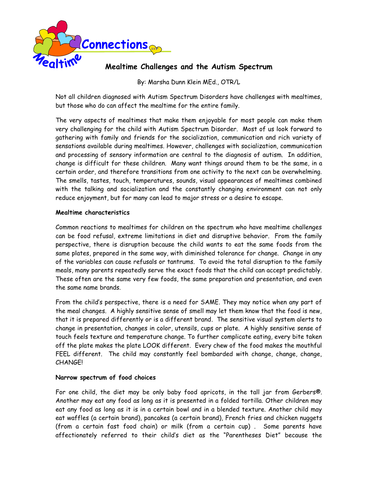

# **Mealtime Challenges and the Autism Spectrum**

By: Marsha Dunn Klein MEd., OTR/L

Not all children diagnosed with Autism Spectrum Disorders have challenges with mealtimes, but those who do can affect the mealtime for the entire family.

The very aspects of mealtimes that make them enjoyable for most people can make them very challenging for the child with Autism Spectrum Disorder. Most of us look forward to gathering with family and friends for the socialization, communication and rich variety of sensations available during mealtimes. However, challenges with socialization, communication and processing of sensory information are central to the diagnosis of autism. In addition, change is difficult for these children. Many want things around them to be the same, in a certain order, and therefore transitions from one activity to the next can be overwhelming. The smells, tastes, touch, temperatures, sounds, visual appearances of mealtimes combined with the talking and socialization and the constantly changing environment can not only reduce enjoyment, but for many can lead to major stress or a desire to escape.

#### **Mealtime characteristics**

Common reactions to mealtimes for children on the spectrum who have mealtime challenges can be food refusal, extreme limitations in diet and disruptive behavior. From the family perspective, there is disruption because the child wants to eat the same foods from the same plates, prepared in the same way, with diminished tolerance for change. Change in any of the variables can cause refusals or tantrums. To avoid the total disruption to the family meals, many parents repeatedly serve the exact foods that the child can accept predictably. These often are the same very few foods, the same preparation and presentation, and even the same name brands.

From the child's perspective, there is a need for SAME. They may notice when any part of the meal changes. A highly sensitive sense of smell may let them know that the food is new, that it is prepared differently or is a different brand. The sensitive visual system alerts to change in presentation, changes in color, utensils, cups or plate. A highly sensitive sense of touch feels texture and temperature change. To further complicate eating, every bite taken off the plate makes the plate LOOK different. Every chew of the food makes the mouthful FEEL different. The child may constantly feel bombarded with change, change, change, CHANGE!

#### **Narrow spectrum of food choices**

For one child, the diet may be only baby food apricots, in the tall jar from Gerbers®. Another may eat any food as long as it is presented in a folded tortilla. Other children may eat any food as long as it is in a certain bowl and in a blended texture. Another child may eat waffles (a certain brand), pancakes (a certain brand), French fries and chicken nuggets (from a certain fast food chain) or milk (from a certain cup) . Some parents have affectionately referred to their child's diet as the "Parentheses Diet" because the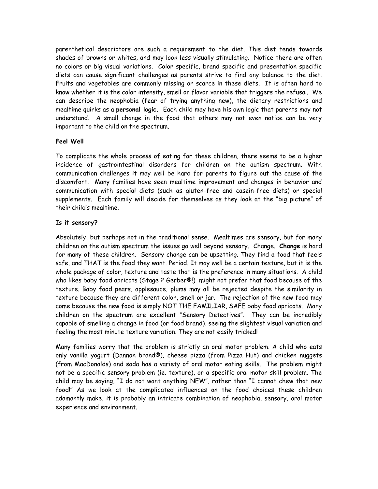parenthetical descriptors are such a requirement to the diet. This diet tends towards shades of browns or whites, and may look less visually stimulating. Notice there are often no colors or big visual variations. Color specific, brand specific and presentation specific diets can cause significant challenges as parents strive to find any balance to the diet. Fruits and vegetables are commonly missing or scarce in these diets. It is often hard to know whether it is the color intensity, smell or flavor variable that triggers the refusal. We can describe the neophobia (fear of trying anything new), the dietary restrictions and mealtime quirks as a **personal logic.** Each child may have his own logic that parents may not understand. A small change in the food that others may not even notice can be very important to the child on the spectrum.

# **Feel Well**

To complicate the whole process of eating for these children, there seems to be a higher incidence of gastrointestinal disorders for children on the autism spectrum. With communication challenges it may well be hard for parents to figure out the cause of the discomfort. Many families have seen mealtime improvement and changes in behavior and communication with special diets (such as gluten-free and casein-free diets) or special supplements. Each family will decide for themselves as they look at the "big picture" of their child's mealtime.

# **Is it sensory?**

Absolutely, but perhaps not in the traditional sense. Mealtimes are sensory, but for many children on the autism spectrum the issues go well beyond sensory. Change. **Change** is hard for many of these children. Sensory change can be upsetting. They find a food that feels safe, and THAT is the food they want. Period. It may well be a certain texture, but it is the whole package of color, texture and taste that is the preference in many situations. A child who likes baby food apricots (Stage 2 Gerber®!) might not prefer that food because of the texture. Baby food pears, applesauce, plums may all be rejected despite the similarity in texture because they are different color, smell or jar. The rejection of the new food may come because the new food is simply NOT THE FAMILIAR, SAFE baby food apricots. Many children on the spectrum are excellent "Sensory Detectives". They can be incredibly capable of smelling a change in food (or food brand), seeing the slightest visual variation and feeling the most minute texture variation. They are not easily tricked!

Many families worry that the problem is strictly an oral motor problem. A child who eats only vanilla yogurt (Dannon brand®), cheese pizza (from Pizza Hut) and chicken nuggets (from MacDonalds) and soda has a variety of oral motor eating skills. The problem might not be a specific sensory problem (ie. texture), or a specific oral motor skill problem. The child may be saying, "I do not want anything NEW", rather than "I cannot chew that new food!" As we look at the complicated influences on the food choices these children adamantly make, it is probably an intricate combination of neophobia, sensory, oral motor experience and environment.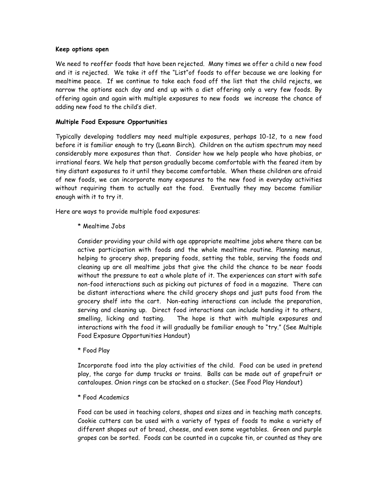#### **Keep options open**

We need to reoffer foods that have been rejected. Many times we offer a child a new food and it is rejected. We take it off the "List"of foods to offer because we are looking for mealtime peace. If we continue to take each food off the list that the child rejects, we narrow the options each day and end up with a diet offering only a very few foods. By offering again and again with multiple exposures to new foods we increase the chance of adding new food to the child's diet.

#### **Multiple Food Exposure Opportunities**

Typically developing toddlers may need multiple exposures, perhaps 10-12, to a new food before it is familiar enough to try (Leann Birch). Children on the autism spectrum may need considerably more exposures than that. Consider how we help people who have phobias, or irrational fears. We help that person gradually become comfortable with the feared item by tiny distant exposures to it until they become comfortable. When these children are afraid of new foods, we can incorporate many exposures to the new food in everyday activities without requiring them to actually eat the food. Eventually they may become familiar enough with it to try it.

Here are ways to provide multiple food exposures:

\* Mealtime Jobs

Consider providing your child with age appropriate mealtime jobs where there can be active participation with foods and the whole mealtime routine. Planning menus, helping to grocery shop, preparing foods, setting the table, serving the foods and cleaning up are all mealtime jobs that give the child the chance to be near foods without the pressure to eat a whole plate of it. The experiences can start with safe non-food interactions such as picking out pictures of food in a magazine. There can be distant interactions where the child grocery shops and just puts food from the grocery shelf into the cart. Non-eating interactions can include the preparation, serving and cleaning up. Direct food interactions can include handing it to others, smelling, licking and tasting. The hope is that with multiple exposures and interactions with the food it will gradually be familiar enough to "try." (See Multiple Food Exposure Opportunities Handout)

\* Food Play

Incorporate food into the play activities of the child. Food can be used in pretend play, the cargo for dump trucks or trains. Balls can be made out of grapefruit or cantaloupes. Onion rings can be stacked on a stacker. (See Food Play Handout)

#### \* Food Academics

Food can be used in teaching colors, shapes and sizes and in teaching math concepts. Cookie cutters can be used with a variety of types of foods to make a variety of different shapes out of bread, cheese, and even some vegetables. Green and purple grapes can be sorted. Foods can be counted in a cupcake tin, or counted as they are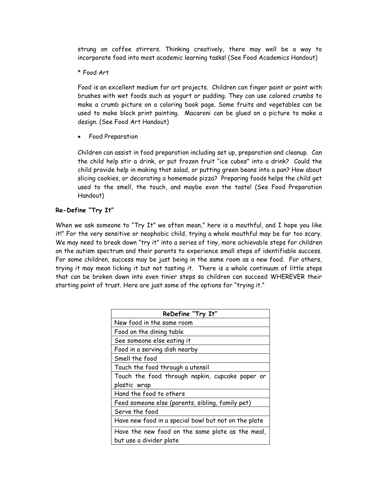strung on coffee stirrers. Thinking creatively, there may well be a way to incorporate food into most academic learning tasks! (See Food Academics Handout)

\* Food Art

Food is an excellent medium for art projects. Children can finger paint or paint with brushes with wet foods such as yogurt or pudding. They can use colored crumbs to make a crumb picture on a coloring book page. Some fruits and vegetables can be used to make block print painting. Macaroni can be glued on a picture to make a design. (See Food Art Handout)

Food Preparation

Children can assist in food preparation including set up, preparation and cleanup. Can the child help stir a drink, or put frozen fruit "ice cubes" into a drink? Could the child provide help in making that salad, or putting green beans into a pan? How about slicing cookies, or decorating a homemade pizza? Preparing foods helps the child get used to the smell, the touch, and maybe even the taste! (See Food Preparation Handout)

# **Re-Define "Try It"**

When we ask someone to "Try It" we often mean," here is a mouthful, and I hope you like it!" For the very sensitive or neophobic child, trying a whole mouthful may be far too scary. We may need to break down "try it" into a series of tiny, more achievable steps for children on the autism spectrum and their parents to experience small steps of identifiable success. For some children, success may be just being in the same room as a new food. For others, trying it may mean licking it but not tasting it. There is a whole continuum of little steps that can be broken down into even tinier steps so children can succeed WHEREVER their starting point of trust. Here are just some of the options for "trying it."

| ReDefine "Try It"                                    |
|------------------------------------------------------|
| New food in the same room                            |
| Food on the dining table                             |
| See someone else eating it                           |
| Food in a serving dish nearby                        |
| Smell the food                                       |
| Touch the food through a utensil                     |
| Touch the food through napkin, cupcake paper or      |
| plastic wrap                                         |
| Hand the food to others                              |
| Feed someone else (parents, sibling, family pet)     |
| Serve the food                                       |
| Have new food in a special bowl but not on the plate |
| Have the new food on the same plate as the meal,     |
| but use a divider plate                              |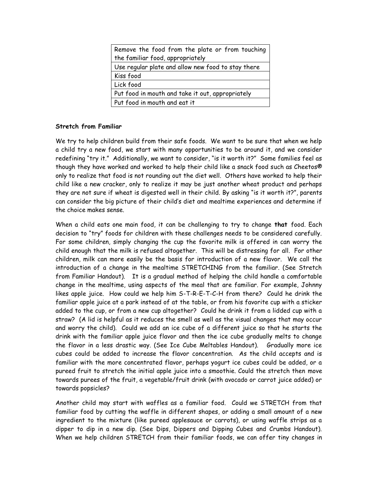| Remove the food from the plate or from touching    |
|----------------------------------------------------|
| the familiar food, appropriately                   |
| Use regular plate and allow new food to stay there |
| Kiss food                                          |
| Lick food                                          |
| Put food in mouth and take it out, appropriately   |
| Put food in mouth and eat it                       |

# **Stretch from Familiar**

We try to help children build from their safe foods. We want to be sure that when we help a child try a new food, we start with many opportunities to be around it, and we consider redefining "try it." Additionally, we want to consider, "is it worth it?" Some families feel as though they have worked and worked to help their child like a snack food such as Cheetos® only to realize that food is not rounding out the diet well. Others have worked to help their child like a new cracker, only to realize it may be just another wheat product and perhaps they are not sure if wheat is digested well in their child. By asking "is it worth it?", parents can consider the big picture of their child's diet and mealtime experiences and determine if the choice makes sense.

When a child eats one main food, it can be challenging to try to change **that** food. Each decision to "try" foods for children with these challenges needs to be considered carefully. For some children, simply changing the cup the favorite milk is offered in can worry the child enough that the milk is refused altogether. This will be distressing for all. For other children, milk can more easily be the basis for introduction of a new flavor. We call the introduction of a change in the mealtime STRETCHING from the familiar. (See Stretch from Familiar Handout). It is a gradual method of helping the child handle a comfortable change in the mealtime, using aspects of the meal that are familiar. For example, Johnny likes apple juice. How could we help him S-T-R-E-T-C-H from there? Could he drink the familiar apple juice at a park instead of at the table, or from his favorite cup with a sticker added to the cup, or from a new cup altogether? Could he drink it from a lidded cup with a straw? (A lid is helpful as it reduces the smell as well as the visual changes that may occur and worry the child). Could we add an ice cube of a different juice so that he starts the drink with the familiar apple juice flavor and then the ice cube gradually melts to change the flavor in a less drastic way. (See Ice Cube Meltables Handout). Gradually more ice cubes could be added to increase the flavor concentration. As the child accepts and is familiar with the more concentrated flavor, perhaps yogurt ice cubes could be added, or a pureed fruit to stretch the initial apple juice into a smoothie. Could the stretch then move towards purees of the fruit, a vegetable/fruit drink (with avocado or carrot juice added) or towards popsicles?

Another child may start with waffles as a familiar food. Could we STRETCH from that familiar food by cutting the waffle in different shapes, or adding a small amount of a new ingredient to the mixture (like pureed applesauce or carrots), or using waffle strips as a dipper to dip in a new dip. (See Dips, Dippers and Dipping Cubes and Crumbs Handout). When we help children STRETCH from their familiar foods, we can offer tiny changes in